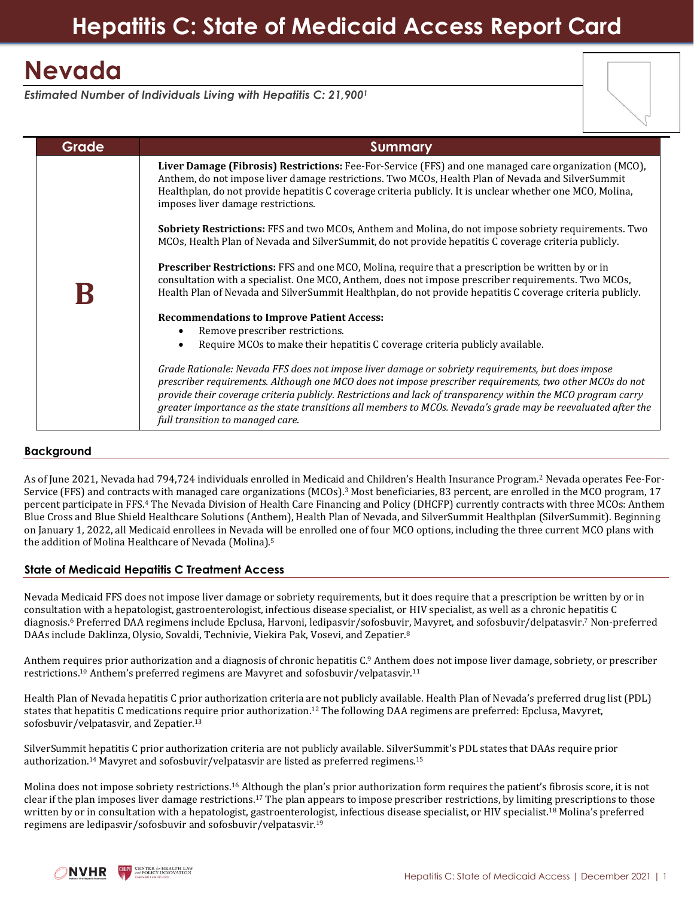# **Nevada**

*Estimated Number of Individuals Living with Hepatitis C: 21,900<sup>1</sup>*



# **Background**

As of June 2021, Nevada had 794,724 individuals enrolled in Medicaid and Children's Health Insurance Program.<sup>2</sup> Nevada operates Fee-For-Service (FFS) and contracts with managed care organizations (MCOs).<sup>3</sup> Most beneficiaries, 83 percent, are enrolled in the MCO program, 17 percent participate in FFS. <sup>4</sup> The Nevada Division of Health Care Financing and Policy (DHCFP) currently contracts with three MCOs: Anthem Blue Cross and Blue Shield Healthcare Solutions (Anthem), Health Plan of Nevada, and SilverSummit Healthplan (SilverSummit). Beginning on January 1, 2022, all Medicaid enrollees in Nevada will be enrolled one of four MCO options, including the three current MCO plans with the addition of Molina Healthcare of Nevada (Molina). 5

# **State of Medicaid Hepatitis C Treatment Access**

Nevada Medicaid FFS does not impose liver damage or sobriety requirements, but it does require that a prescription be written by or in consultation with a hepatologist, gastroenterologist, infectious disease specialist, or HIV specialist, as well as a chronic hepatitis C diagnosis. <sup>6</sup> Preferred DAA regimens include Epclusa, Harvoni, ledipasvir/sofosbuvir, Mavyret, and sofosbuvir/delpatasvir. <sup>7</sup> Non-preferred DAAs include Daklinza, Olysio, Sovaldi, Technivie, Viekira Pak, Vosevi, and Zepatier. 8

Anthem requires prior authorization and a diagnosis of chronic hepatitis C. <sup>9</sup> Anthem does not impose liver damage, sobriety, or prescriber restrictions. <sup>10</sup> Anthem's preferred regimens are Mavyret and sofosbuvir/velpatasvir.<sup>11</sup>

Health Plan of Nevada hepatitis C prior authorization criteria are not publicly available. Health Plan of Nevada's preferred drug list (PDL) states that hepatitis C medications require prior authorization.<sup>12</sup> The following DAA regimens are preferred: Epclusa, Mavyret, sofosbuvir/velpatasvir, and Zepatier. 13

SilverSummit hepatitis C prior authorization criteria are not publicly available. SilverSummit's PDL states that DAAs require prior authorization. <sup>14</sup> Mavyret and sofosbuvir/velpatasvir are listed as preferred regimens.<sup>15</sup>

Molina does not impose sobriety restrictions.<sup>16</sup> Although the plan's prior authorization form requires the patient's fibrosis score, it is not clear if the plan imposes liver damage restrictions.<sup>17</sup> The plan appears to impose prescriber restrictions, by limiting prescriptions to those written by or in consultation with a hepatologist, gastroenterologist, infectious disease specialist, or HIV specialist.<sup>18</sup> Molina's preferred regimens are ledipasvir/sofosbuvir and sofosbuvir/velpatasvir.19